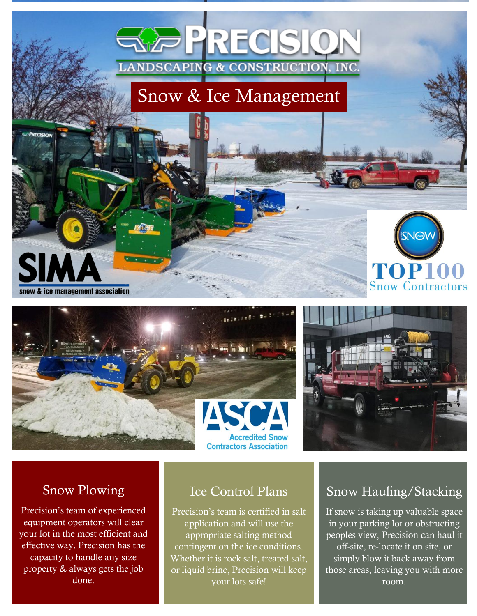# **LANDSCAPING & CONSTRUCTION, INC.** Snow & Ice Management

PRECISIO







#### Snow Plowing

snow & ice management association

Precision's team of experienced equipment operators will clear your lot in the most efficient and effective way. Precision has the capacity to handle any size property & always gets the job done.

#### Ice Control Plans

Precision's team is certified in salt application and will use the appropriate salting method contingent on the ice conditions. Whether it is rock salt, treated salt, or liquid brine, Precision will keep your lots safe!

### Snow Hauling/Stacking

If snow is taking up valuable space in your parking lot or obstructing peoples view, Precision can haul it off-site, re-locate it on site, or  $s$ imply blow it back away from those areas, leaving you with more room.